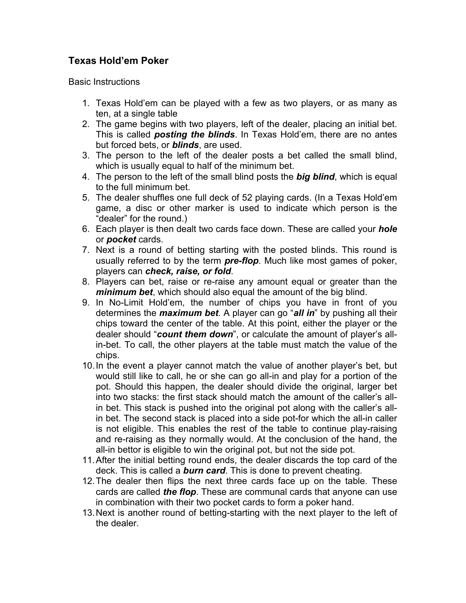## **Texas Hold'em Poker**

Basic Instructions

- 1. Texas Hold'em can be played with a few as two players, or as many as ten, at a single table
- 2. The game begins with two players, left of the dealer, placing an initial bet. This is called *posting the blinds*. In Texas Hold'em, there are no antes but forced bets, or *blinds*, are used.
- 3. The person to the left of the dealer posts a bet called the small blind, which is usually equal to half of the minimum bet.
- 4. The person to the left of the small blind posts the *big blind*, which is equal to the full minimum bet.
- 5. The dealer shuffles one full deck of 52 playing cards. (In a Texas Hold'em game, a disc or other marker is used to indicate which person is the "dealer" for the round.)
- 6. Each player is then dealt two cards face down. These are called your *hole* or *pocket* cards.
- 7. Next is a round of betting starting with the posted blinds. This round is usually referred to by the term *pre-flop*. Much like most games of poker, players can *check, raise, or fold*.
- 8. Players can bet, raise or re-raise any amount equal or greater than the *minimum bet*, which should also equal the amount of the big blind.
- 9. In No-Limit Hold'em, the number of chips you have in front of you determines the *maximum bet*. A player can go "*all in*" by pushing all their chips toward the center of the table. At this point, either the player or the dealer should "*count them down*", or calculate the amount of player's allin-bet. To call, the other players at the table must match the value of the chips.
- 10. In the event a player cannot match the value of another player's bet, but would still like to call, he or she can go all-in and play for a portion of the pot. Should this happen, the dealer should divide the original, larger bet into two stacks: the first stack should match the amount of the caller's allin bet. This stack is pushed into the original pot along with the caller's allin bet. The second stack is placed into a side pot-for which the all-in caller is not eligible. This enables the rest of the table to continue play-raising and re-raising as they normally would. At the conclusion of the hand, the all-in bettor is eligible to win the original pot, but not the side pot.
- 11. After the initial betting round ends, the dealer discards the top card of the deck. This is called a *burn card*. This is done to prevent cheating.
- 12. The dealer then flips the next three cards face up on the table. These cards are called *the flop*. These are communal cards that anyone can use in combination with their two pocket cards to form a poker hand.
- 13. Next is another round of betting-starting with the next player to the left of the dealer.